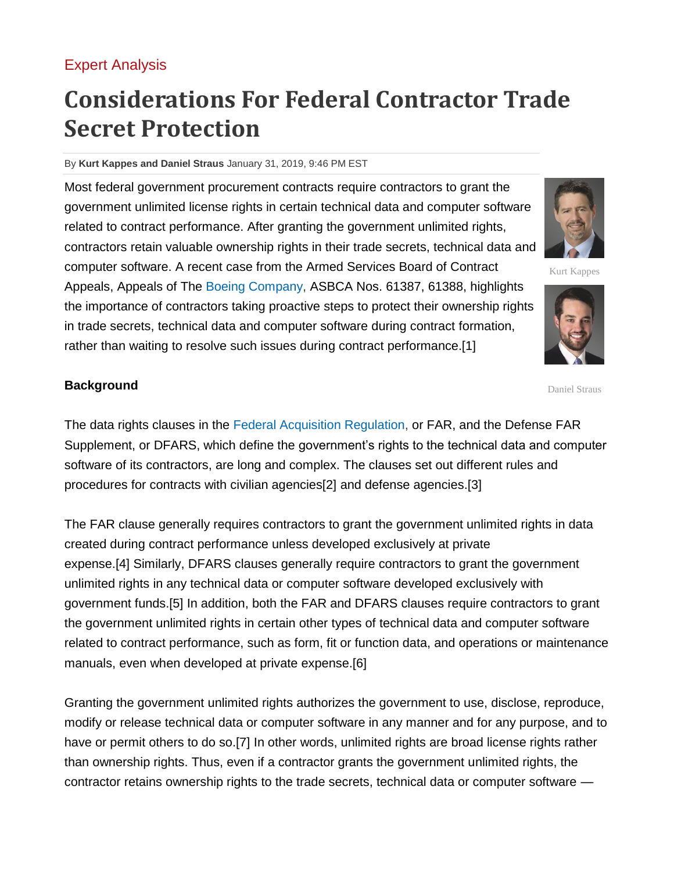## [Expert Analysis](https://www.law360.com/expertanalysis)

# **Considerations For Federal Contractor Trade Secret Protection**

#### By **Kurt Kappes and Daniel Straus** January 31, 2019, 9:46 PM EST

Most federal government procurement contracts require contractors to grant the government unlimited license rights in certain technical data and computer software related to contract performance. After granting the government unlimited rights, contractors retain valuable ownership rights in their trade secrets, technical data and computer software. A recent case from the Armed Services Board of Contract Appeals, Appeals of The [Boeing Company,](https://www.law360.com/companies/the-boeing-company) ASBCA Nos. 61387, 61388, highlights the importance of contractors taking proactive steps to protect their ownership rights in trade secrets, technical data and computer software during contract formation, rather than waiting to resolve such issues during contract performance.[1]

#### **Background**

The data rights clauses in the [Federal Acquisition Regulation,](https://www.law360.com/agencies/federal-acquisition-regulatory-council) or FAR, and the Defense FAR Supplement, or DFARS, which define the government's rights to the technical data and computer software of its contractors, are long and complex. The clauses set out different rules and procedures for contracts with civilian agencies[2] and defense agencies.[3]

The FAR clause generally requires contractors to grant the government unlimited rights in data created during contract performance unless developed exclusively at private expense.[4] Similarly, DFARS clauses generally require contractors to grant the government unlimited rights in any technical data or computer software developed exclusively with government funds.[5] In addition, both the FAR and DFARS clauses require contractors to grant the government unlimited rights in certain other types of technical data and computer software related to contract performance, such as form, fit or function data, and operations or maintenance manuals, even when developed at private expense.[6]

Granting the government unlimited rights authorizes the government to use, disclose, reproduce, modify or release technical data or computer software in any manner and for any purpose, and to have or permit others to do so.[7] In other words, unlimited rights are broad license rights rather than ownership rights. Thus, even if a contractor grants the government unlimited rights, the contractor retains ownership rights to the trade secrets, technical data or computer software —





Kurt Kappes

Daniel Straus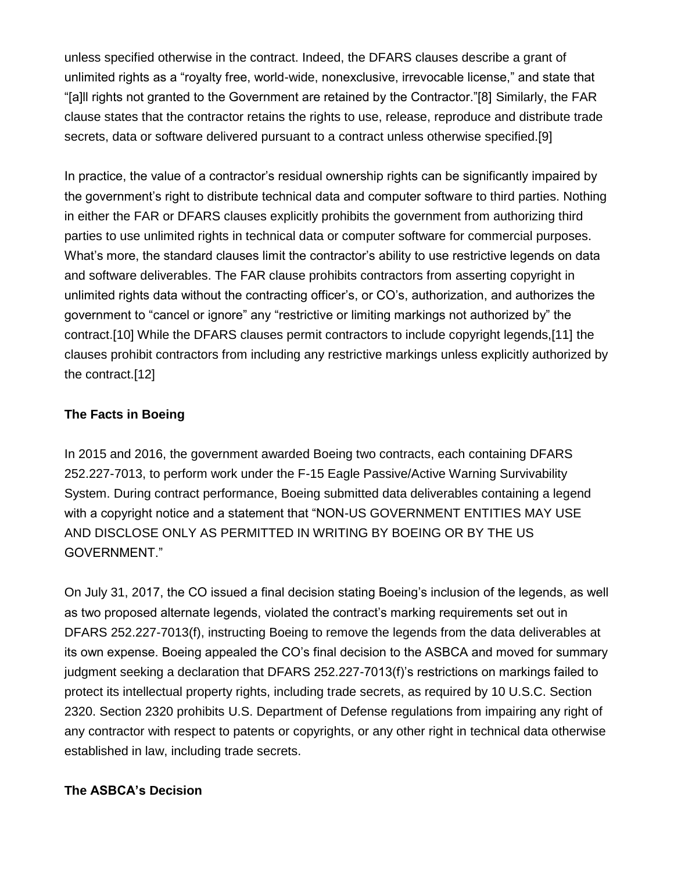unless specified otherwise in the contract. Indeed, the DFARS clauses describe a grant of unlimited rights as a "royalty free, world-wide, nonexclusive, irrevocable license," and state that "[a]ll rights not granted to the Government are retained by the Contractor."[8] Similarly, the FAR clause states that the contractor retains the rights to use, release, reproduce and distribute trade secrets, data or software delivered pursuant to a contract unless otherwise specified.[9]

In practice, the value of a contractor's residual ownership rights can be significantly impaired by the government's right to distribute technical data and computer software to third parties. Nothing in either the FAR or DFARS clauses explicitly prohibits the government from authorizing third parties to use unlimited rights in technical data or computer software for commercial purposes. What's more, the standard clauses limit the contractor's ability to use restrictive legends on data and software deliverables. The FAR clause prohibits contractors from asserting copyright in unlimited rights data without the contracting officer's, or CO's, authorization, and authorizes the government to "cancel or ignore" any "restrictive or limiting markings not authorized by" the contract.[10] While the DFARS clauses permit contractors to include copyright legends,[11] the clauses prohibit contractors from including any restrictive markings unless explicitly authorized by the contract.[12]

#### **The Facts in Boeing**

In 2015 and 2016, the government awarded Boeing two contracts, each containing DFARS 252.227-7013, to perform work under the F-15 Eagle Passive/Active Warning Survivability System. During contract performance, Boeing submitted data deliverables containing a legend with a copyright notice and a statement that "NON-US GOVERNMENT ENTITIES MAY USE AND DISCLOSE ONLY AS PERMITTED IN WRITING BY BOEING OR BY THE US GOVERNMENT."

On July 31, 2017, the CO issued a final decision stating Boeing's inclusion of the legends, as well as two proposed alternate legends, violated the contract's marking requirements set out in DFARS 252.227-7013(f), instructing Boeing to remove the legends from the data deliverables at its own expense. Boeing appealed the CO's final decision to the ASBCA and moved for summary judgment seeking a declaration that DFARS 252.227-7013(f)'s restrictions on markings failed to protect its intellectual property rights, including trade secrets, as required by 10 U.S.C. Section 2320. Section 2320 prohibits [U.S. Department of Defense](https://www.law360.com/agencies/u-s-department-of-defense) regulations from impairing any right of any contractor with respect to patents or copyrights, or any other right in technical data otherwise established in law, including trade secrets.

### **The ASBCA's Decision**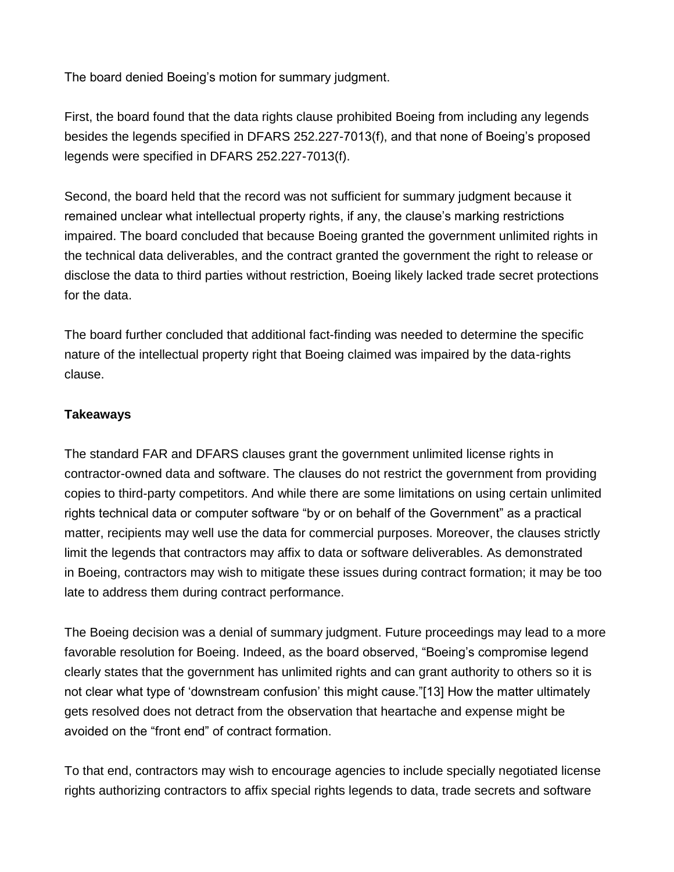The board denied Boeing's motion for summary judgment.

First, the board found that the data rights clause prohibited Boeing from including any legends besides the legends specified in DFARS 252.227-7013(f), and that none of Boeing's proposed legends were specified in DFARS 252.227-7013(f).

Second, the board held that the record was not sufficient for summary judgment because it remained unclear what intellectual property rights, if any, the clause's marking restrictions impaired. The board concluded that because Boeing granted the government unlimited rights in the technical data deliverables, and the contract granted the government the right to release or disclose the data to third parties without restriction, Boeing likely lacked trade secret protections for the data.

The board further concluded that additional fact-finding was needed to determine the specific nature of the intellectual property right that Boeing claimed was impaired by the data-rights clause.

#### **Takeaways**

The standard FAR and DFARS clauses grant the government unlimited license rights in contractor-owned data and software. The clauses do not restrict the government from providing copies to third-party competitors. And while there are some limitations on using certain unlimited rights technical data or computer software "by or on behalf of the Government" as a practical matter, recipients may well use the data for commercial purposes. Moreover, the clauses strictly limit the legends that contractors may affix to data or software deliverables. As demonstrated in Boeing, contractors may wish to mitigate these issues during contract formation; it may be too late to address them during contract performance.

The Boeing decision was a denial of summary judgment. Future proceedings may lead to a more favorable resolution for Boeing. Indeed, as the board observed, "Boeing's compromise legend clearly states that the government has unlimited rights and can grant authority to others so it is not clear what type of 'downstream confusion' this might cause."[13] How the matter ultimately gets resolved does not detract from the observation that heartache and expense might be avoided on the "front end" of contract formation.

To that end, contractors may wish to encourage agencies to include specially negotiated license rights authorizing contractors to affix special rights legends to data, trade secrets and software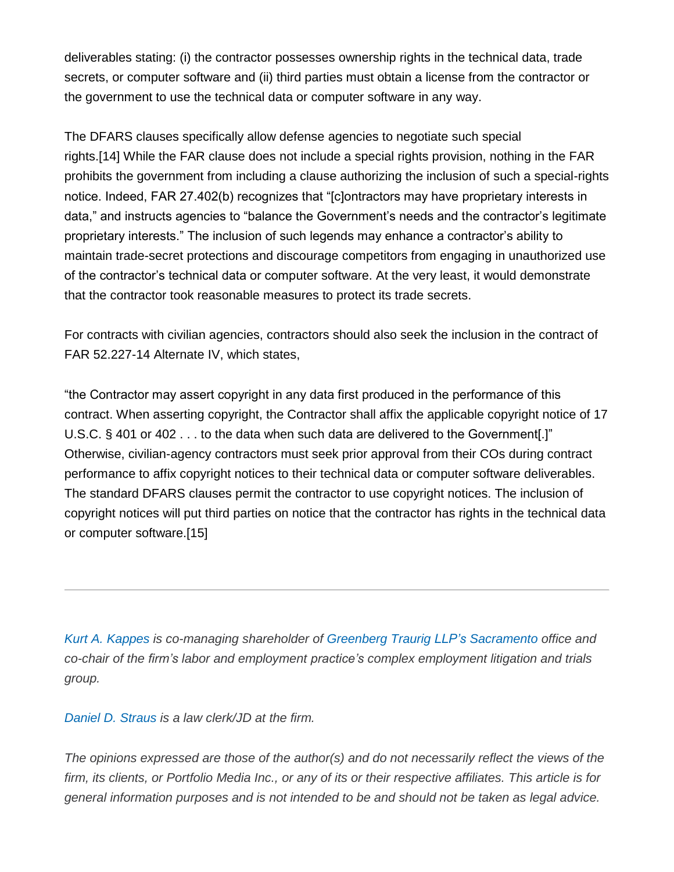deliverables stating: (i) the contractor possesses ownership rights in the technical data, trade secrets, or computer software and (ii) third parties must obtain a license from the contractor or the government to use the technical data or computer software in any way.

The DFARS clauses specifically allow defense agencies to negotiate such special rights.[14] While the FAR clause does not include a special rights provision, nothing in the FAR prohibits the government from including a clause authorizing the inclusion of such a special-rights notice. Indeed, FAR 27.402(b) recognizes that "[c]ontractors may have proprietary interests in data," and instructs agencies to "balance the Government's needs and the contractor's legitimate proprietary interests." The inclusion of such legends may enhance a contractor's ability to maintain trade-secret protections and discourage competitors from engaging in unauthorized use of the contractor's technical data or computer software. At the very least, it would demonstrate that the contractor took reasonable measures to protect its trade secrets.

For contracts with civilian agencies, contractors should also seek the inclusion in the contract of FAR 52.227-14 Alternate IV, which states,

"the Contractor may assert copyright in any data first produced in the performance of this contract. When asserting copyright, the Contractor shall affix the applicable copyright notice of 17 U.S.C. § 401 or 402 . . . to the data when such data are delivered to the Government[.]" Otherwise, civilian-agency contractors must seek prior approval from their COs during contract performance to affix copyright notices to their technical data or computer software deliverables. The standard DFARS clauses permit the contractor to use copyright notices. The inclusion of copyright notices will put third parties on notice that the contractor has rights in the technical data or computer software.[15]

*Kurt A. [Kappes](https://www.gtlaw.com/en/professionals/k/kappes-kurt-a) is co-managing shareholder of Greenberg Traurig LLP's [Sacramento](https://www.law360.com/firms/greenberg-traurig) office and co-chair of the firm's labor and employment practice's complex employment litigation and trials group.*

*Daniel D. [Straus](https://www.linkedin.com/in/daniel-straus-67495930/) is a law clerk/JD at the firm.*

*The opinions expressed are those of the author(s) and do not necessarily reflect the views of the* firm, its clients, or Portfolio Media Inc., or any of its or their respective affiliates. This article is for *general information purposes and is not intended to be and should not be taken as legal advice.*